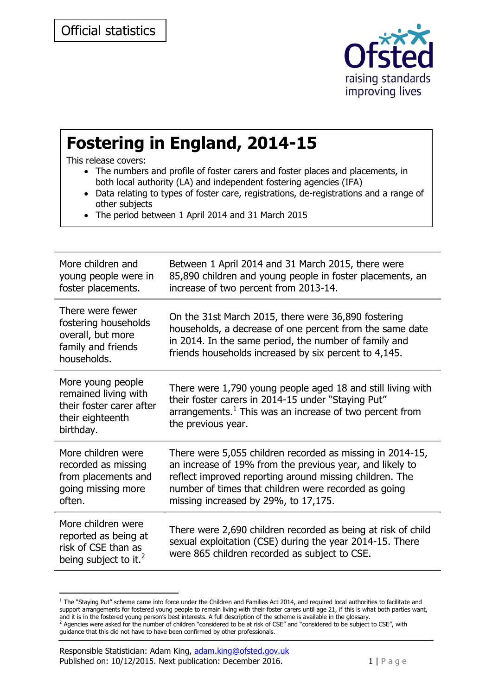

# **Fostering in England, 2014-15**

This release covers:

- The numbers and profile of foster carers and foster places and placements, in both local authority (LA) and independent fostering agencies (IFA)
- Data relating to types of foster care, registrations, de-registrations and a range of other subjects
- The period between 1 April 2014 and 31 March 2015

| More children and<br>young people were in<br>foster placements.                                        | Between 1 April 2014 and 31 March 2015, there were<br>85,890 children and young people in foster placements, an<br>increase of two percent from 2013-14.                                                                                                                         |
|--------------------------------------------------------------------------------------------------------|----------------------------------------------------------------------------------------------------------------------------------------------------------------------------------------------------------------------------------------------------------------------------------|
| There were fewer<br>fostering households<br>overall, but more<br>family and friends<br>households.     | On the 31st March 2015, there were 36,890 fostering<br>households, a decrease of one percent from the same date<br>in 2014. In the same period, the number of family and<br>friends households increased by six percent to 4,145.                                                |
| More young people<br>remained living with<br>their foster carer after<br>their eighteenth<br>birthday. | There were 1,790 young people aged 18 and still living with<br>their foster carers in 2014-15 under "Staying Put"<br>arrangements. <sup>1</sup> This was an increase of two percent from<br>the previous year.                                                                   |
| More children were<br>recorded as missing<br>from placements and<br>going missing more<br>often.       | There were 5,055 children recorded as missing in 2014-15,<br>an increase of 19% from the previous year, and likely to<br>reflect improved reporting around missing children. The<br>number of times that children were recorded as going<br>missing increased by 29%, to 17,175. |
| More children were<br>reported as being at<br>risk of CSE than as<br>being subject to it. <sup>2</sup> | There were 2,690 children recorded as being at risk of child<br>sexual exploitation (CSE) during the year 2014-15. There<br>were 865 children recorded as subject to CSE.                                                                                                        |

 $1$  The "Staying Put" scheme came into force under the Children and Families Act 2014, and required local authorities to facilitate and support arrangements for fostered young people to remain living with their foster carers until age 21, if this is what both parties want, and it is in the fostered young person's best interests. A full description of the scheme is available in the glossary.<br><sup>2</sup> Agencies were asked for the number of children "considered to be at risk of CSE" and "considered t guidance that this did not have to have been confirmed by other professionals.

-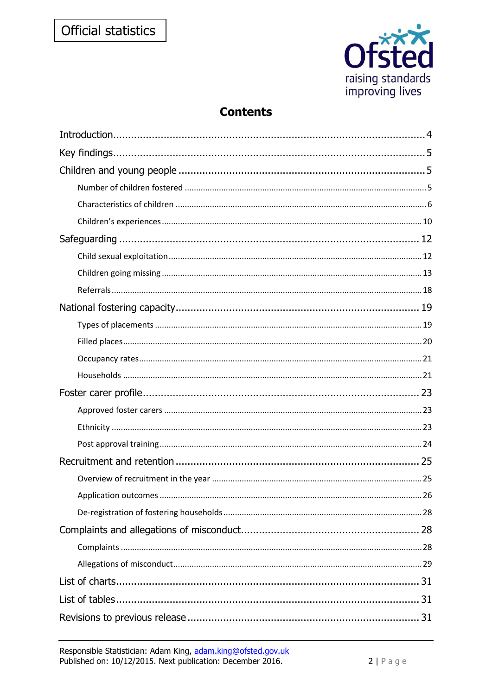

# **Contents**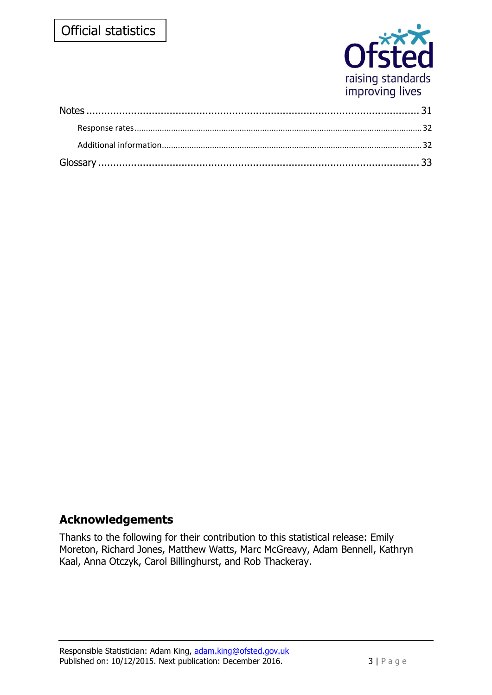# Official statistics



# **Acknowledgements**

Thanks to the following for their contribution to this statistical release: Emily Moreton, Richard Jones, Matthew Watts, Marc McGreavy, Adam Bennell, Kathryn Kaal, Anna Otczyk, Carol Billinghurst, and Rob Thackeray.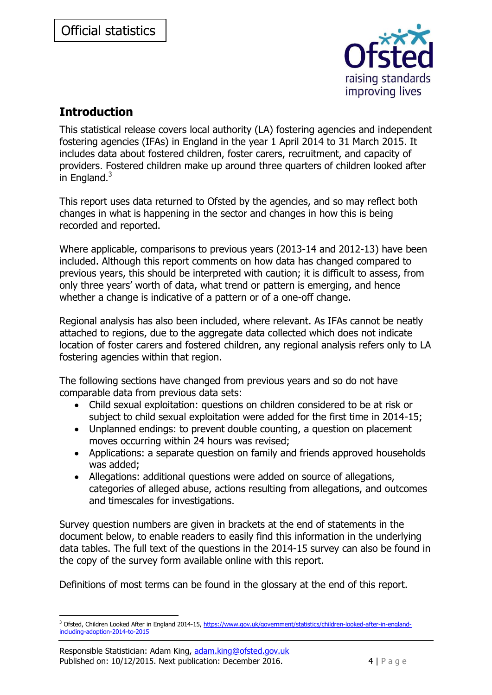

# <span id="page-3-0"></span>**Introduction**

This statistical release covers local authority (LA) fostering agencies and independent fostering agencies (IFAs) in England in the year 1 April 2014 to 31 March 2015. It includes data about fostered children, foster carers, recruitment, and capacity of providers. Fostered children make up around three quarters of children looked after in England. $3$ 

This report uses data returned to Ofsted by the agencies, and so may reflect both changes in what is happening in the sector and changes in how this is being recorded and reported.

Where applicable, comparisons to previous years (2013-14 and 2012-13) have been included. Although this report comments on how data has changed compared to previous years, this should be interpreted with caution; it is difficult to assess, from only three years' worth of data, what trend or pattern is emerging, and hence whether a change is indicative of a pattern or of a one-off change.

Regional analysis has also been included, where relevant. As IFAs cannot be neatly attached to regions, due to the aggregate data collected which does not indicate location of foster carers and fostered children, any regional analysis refers only to LA fostering agencies within that region.

The following sections have changed from previous years and so do not have comparable data from previous data sets:

- Child sexual exploitation: questions on children considered to be at risk or subject to child sexual exploitation were added for the first time in 2014-15;
- Unplanned endings: to prevent double counting, a question on placement moves occurring within 24 hours was revised;
- Applications: a separate question on family and friends approved households was added;
- Allegations: additional questions were added on source of allegations, categories of alleged abuse, actions resulting from allegations, and outcomes and timescales for investigations.

Survey question numbers are given in brackets at the end of statements in the document below, to enable readers to easily find this information in the underlying data tables. The full text of the questions in the 2014-15 survey can also be found in the copy of the survey form available online with this report.

Definitions of most terms can be found in the glossary at the end of this report.

<sup>-</sup><sup>3</sup> Ofsted, Children Looked After in England 2014-15[, https://www.gov.uk/government/statistics/children-looked-after-in-england](https://www.gov.uk/government/statistics/children-looked-after-in-england-including-adoption-2014-to-2015)[including-adoption-2014-to-2015](https://www.gov.uk/government/statistics/children-looked-after-in-england-including-adoption-2014-to-2015)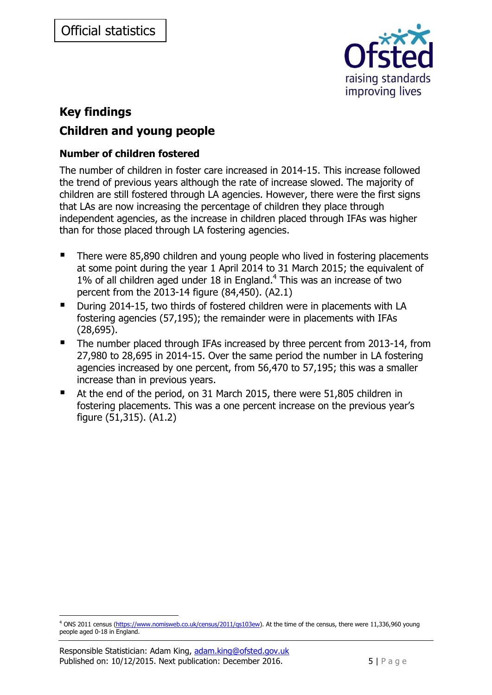

# <span id="page-4-1"></span><span id="page-4-0"></span>**Key findings Children and young people**

# <span id="page-4-2"></span>**Number of children fostered**

The number of children in foster care increased in 2014-15. This increase followed the trend of previous years although the rate of increase slowed. The majority of children are still fostered through LA agencies. However, there were the first signs that LAs are now increasing the percentage of children they place through independent agencies, as the increase in children placed through IFAs was higher than for those placed through LA fostering agencies.

- There were 85,890 children and young people who lived in fostering placements at some point during the year 1 April 2014 to 31 March 2015; the equivalent of 1% of all children aged under 18 in England. 4 This was an increase of two percent from the 2013-14 figure (84,450). (A2.1)
- During 2014-15, two thirds of fostered children were in placements with LA fostering agencies (57,195); the remainder were in placements with IFAs (28,695).
- The number placed through IFAs increased by three percent from 2013-14, from 27,980 to 28,695 in 2014-15. Over the same period the number in LA fostering agencies increased by one percent, from 56,470 to 57,195; this was a smaller increase than in previous years.
- At the end of the period, on 31 March 2015, there were 51,805 children in fostering placements. This was a one percent increase on the previous year's figure (51,315). (A1.2)

-

<sup>&</sup>lt;sup>4</sup> ONS 2011 census [\(https://www.nomisweb.co.uk/census/2011/qs103ew\)](https://www.nomisweb.co.uk/census/2011/qs103ew). At the time of the census, there were 11,336,960 young people aged 0-18 in England.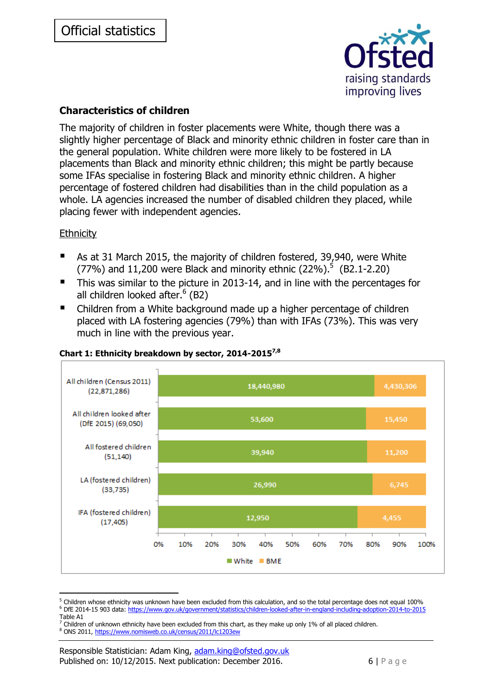

# <span id="page-5-0"></span>**Characteristics of children**

The majority of children in foster placements were White, though there was a slightly higher percentage of Black and minority ethnic children in foster care than in the general population. White children were more likely to be fostered in LA placements than Black and minority ethnic children; this might be partly because some IFAs specialise in fostering Black and minority ethnic children. A higher percentage of fostered children had disabilities than in the child population as a whole. LA agencies increased the number of disabled children they placed, while placing fewer with independent agencies.

### **Ethnicity**

- As at 31 March 2015, the majority of children fostered, 39,940, were White (77%) and 11,200 were Black and minority ethnic (22%).<sup>5</sup> (B2.1-2.20)
- This was similar to the picture in 2013-14, and in line with the percentages for all children looked after.<sup>6</sup> (B2)
- Children from a White background made up a higher percentage of children placed with LA fostering agencies (79%) than with IFAs (73%). This was very much in line with the previous year.



### <span id="page-5-1"></span>**Chart 1: Ethnicity breakdown by sector, 2014-20157,8**

-

<sup>&</sup>lt;sup>5</sup> Children whose ethnicity was unknown have been excluded from this calculation, and so the total percentage does not equal 100% <sup>6</sup> DfE 2014-15 903 data:<https://www.gov.uk/government/statistics/children-looked-after-in-england-including-adoption-2014-to-2015>

Table A1

Children of unknown ethnicity have been excluded from this chart, as they make up only 1% of all placed children.

<sup>8</sup> ONS 2011,<https://www.nomisweb.co.uk/census/2011/lc1203ew>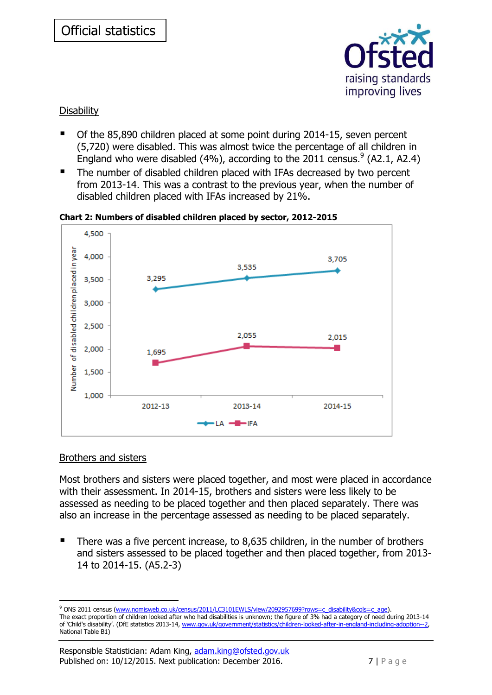

### **Disability**

- Of the 85,890 children placed at some point during 2014-15, seven percent (5,720) were disabled. This was almost twice the percentage of all children in England who were disabled (4%), according to the 2011 census.  $9(42.1, 42.4)$
- The number of disabled children placed with IFAs decreased by two percent from 2013-14. This was a contrast to the previous year, when the number of disabled children placed with IFAs increased by 21%.

4.500 Number of disabled children placed in year 4,000 3.705 3.535 3.295 3,500 3,000 2,500 2,055 2,015 2,000 1,695 1,500 1,000 2012-13 2014-15 2013-14  $-$ **H** $-$ IFA

<span id="page-6-0"></span>**Chart 2: Numbers of disabled children placed by sector, 2012-2015**

### Brothers and sisters

-

Most brothers and sisters were placed together, and most were placed in accordance with their assessment. In 2014-15, brothers and sisters were less likely to be assessed as needing to be placed together and then placed separately. There was also an increase in the percentage assessed as needing to be placed separately.

 There was a five percent increase, to 8,635 children, in the number of brothers and sisters assessed to be placed together and then placed together, from 2013- 14 to 2014-15. (A5.2-3)

<sup>9</sup> ONS 2011 census [\(www.nomisweb.co.uk/census/2011/LC3101EWLS/view/2092957699?rows=c\\_disability&cols=c\\_age\)](http://www.nomisweb.co.uk/census/2011/LC3101EWLS/view/2092957699?rows=c_disability&cols=c_age). The exact proportion of children looked after who had disabilities is unknown; the figure of 3% had a category of need during 2013-14 of 'Child's disability'. (DfE statistics 2013-14, [www.gov.uk/government/statistics/children-looked-after-in-england-including-adoption--2,](https://www.gov.uk/government/statistics/children-looked-after-in-england-including-adoption--2) National Table B1)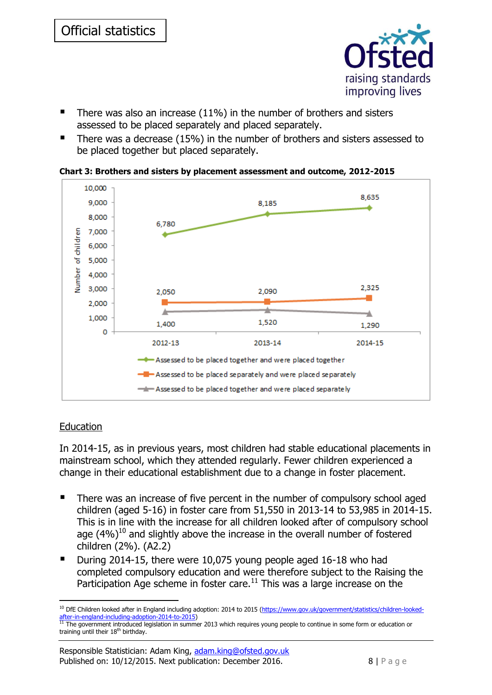

- $\blacksquare$  There was also an increase (11%) in the number of brothers and sisters assessed to be placed separately and placed separately.
- There was a decrease (15%) in the number of brothers and sisters assessed to be placed together but placed separately.

<span id="page-7-0"></span>



### **Education**

In 2014-15, as in previous years, most children had stable educational placements in mainstream school, which they attended regularly. Fewer children experienced a change in their educational establishment due to a change in foster placement.

- There was an increase of five percent in the number of compulsory school aged children (aged 5-16) in foster care from 51,550 in 2013-14 to 53,985 in 2014-15. This is in line with the increase for all children looked after of compulsory school age  $(4\%)^{10}$  and slightly above the increase in the overall number of fostered children (2%). (A2.2)
- During 2014-15, there were 10,075 young people aged 16-18 who had completed compulsory education and were therefore subject to the Raising the Participation Age scheme in foster care. $11$  This was a large increase on the

<sup>-</sup><sup>10</sup> DfE Children looked after in England including adoption: 2014 to 2015 [\(https://www.gov.uk/government/statistics/children-looked](https://www.gov.uk/government/statistics/children-looked-after-in-england-including-adoption-2014-to-2015)[after-in-england-including-adoption-2014-to-2015\)](https://www.gov.uk/government/statistics/children-looked-after-in-england-including-adoption-2014-to-2015)<br><sup>11</sup> The government introduced legislation in summer 2013 which requires young people to continue in some form or education or

training until their  $18<sup>th</sup>$  birthday.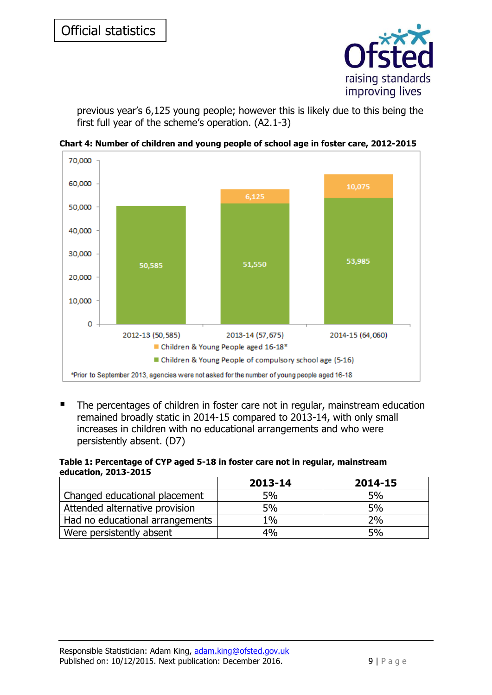

previous year's 6,125 young people; however this is likely due to this being the first full year of the scheme's operation. (A2.1-3)



<span id="page-8-0"></span>**Chart 4: Number of children and young people of school age in foster care, 2012-2015**

 The percentages of children in foster care not in regular, mainstream education remained broadly static in 2014-15 compared to 2013-14, with only small increases in children with no educational arrangements and who were persistently absent. (D7)

#### <span id="page-8-1"></span>**Table 1: Percentage of CYP aged 5-18 in foster care not in regular, mainstream education, 2013-2015**

|                                 | 2013-14 | 2014-15 |
|---------------------------------|---------|---------|
| Changed educational placement   | 5%      | 5%      |
| Attended alternative provision  | 5%      | 5%      |
| Had no educational arrangements | $1\%$   | 2%      |
| Were persistently absent        | 4%      | 5%      |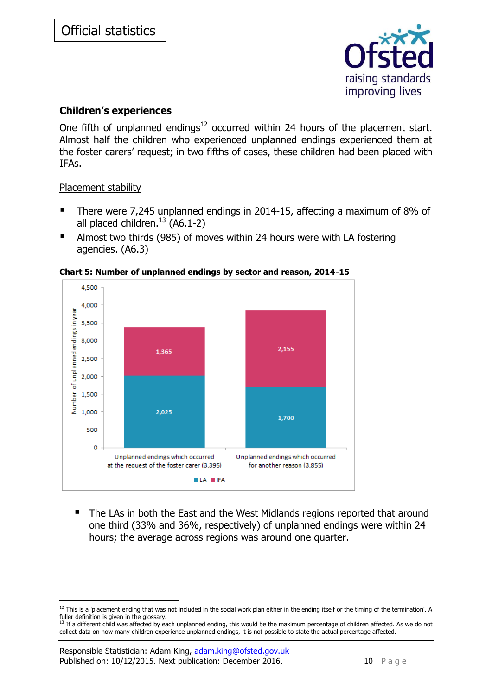

# <span id="page-9-0"></span>**Children's experiences**

One fifth of unplanned endings<sup>12</sup> occurred within 24 hours of the placement start. Almost half the children who experienced unplanned endings experienced them at the foster carers' request; in two fifths of cases, these children had been placed with IFAs.

### Placement stability

-

- There were 7,245 unplanned endings in 2014-15, affecting a maximum of 8% of all placed children. $^{13}$  (A6.1-2)
- Almost two thirds (985) of moves within 24 hours were with LA fostering agencies. (A6.3)



<span id="page-9-1"></span>**Chart 5: Number of unplanned endings by sector and reason, 2014-15**

 The LAs in both the East and the West Midlands regions reported that around one third (33% and 36%, respectively) of unplanned endings were within 24 hours; the average across regions was around one quarter.

 $12$  This is a 'placement ending that was not included in the social work plan either in the ending itself or the timing of the termination'. A  $f(x) = x^2 + 2x + 3$ <br>fuller definition is given in the glossary.<br><sup>13</sup> If a different shipped

If a different child was affected by each unplanned ending, this would be the maximum percentage of children affected. As we do not collect data on how many children experience unplanned endings, it is not possible to state the actual percentage affected.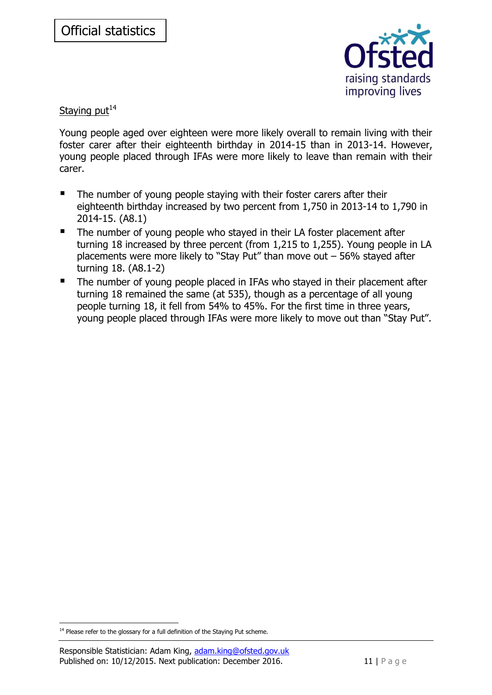

Staying  $put<sup>14</sup>$ 

Young people aged over eighteen were more likely overall to remain living with their foster carer after their eighteenth birthday in 2014-15 than in 2013-14. However, young people placed through IFAs were more likely to leave than remain with their carer.

- The number of young people staying with their foster carers after their eighteenth birthday increased by two percent from 1,750 in 2013-14 to 1,790 in 2014-15. (A8.1)
- The number of young people who stayed in their LA foster placement after turning 18 increased by three percent (from 1,215 to 1,255). Young people in LA placements were more likely to "Stay Put" than move out – 56% stayed after turning 18. (A8.1-2)
- The number of young people placed in IFAs who stayed in their placement after turning 18 remained the same (at 535), though as a percentage of all young people turning 18, it fell from 54% to 45%. For the first time in three years, young people placed through IFAs were more likely to move out than "Stay Put".

<sup>-</sup> $14$  Please refer to the glossary for a full definition of the Staying Put scheme.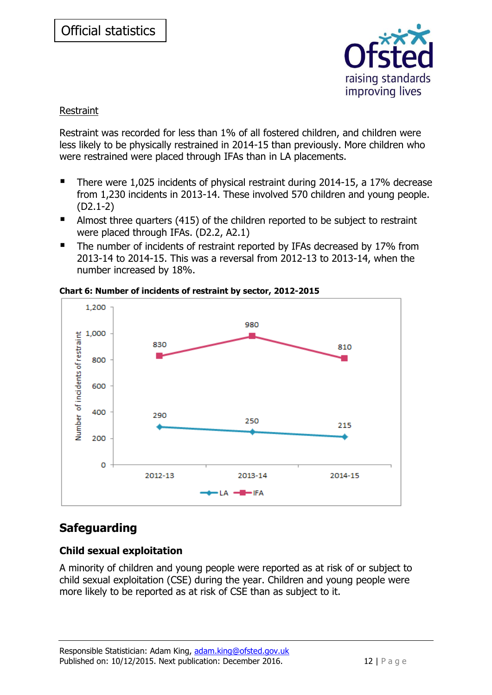

### Restraint

Restraint was recorded for less than 1% of all fostered children, and children were less likely to be physically restrained in 2014-15 than previously. More children who were restrained were placed through IFAs than in LA placements.

- There were 1,025 incidents of physical restraint during 2014-15, a 17% decrease from 1,230 incidents in 2013-14. These involved 570 children and young people. (D2.1-2)
- Almost three quarters (415) of the children reported to be subject to restraint were placed through IFAs. (D2.2, A2.1)
- The number of incidents of restraint reported by IFAs decreased by 17% from 2013-14 to 2014-15. This was a reversal from 2012-13 to 2013-14, when the number increased by 18%.



<span id="page-11-2"></span>**Chart 6: Number of incidents of restraint by sector, 2012-2015**

# <span id="page-11-0"></span>**Safeguarding**

# <span id="page-11-1"></span>**Child sexual exploitation**

A minority of children and young people were reported as at risk of or subject to child sexual exploitation (CSE) during the year. Children and young people were more likely to be reported as at risk of CSE than as subject to it.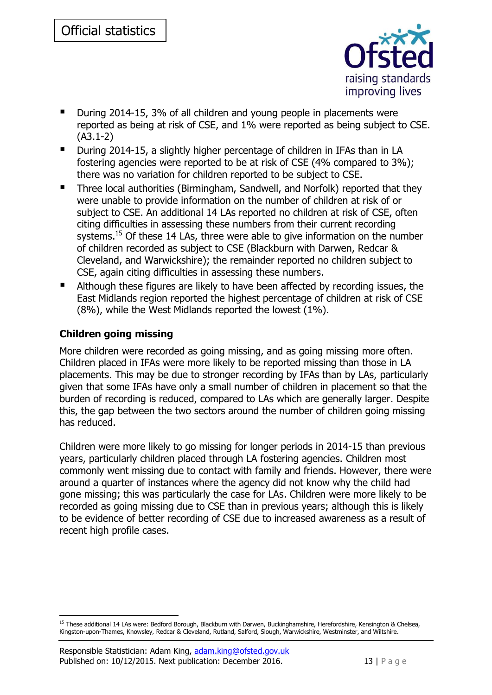

- During 2014-15, 3% of all children and young people in placements were reported as being at risk of CSE, and 1% were reported as being subject to CSE. (A3.1-2)
- During 2014-15, a slightly higher percentage of children in IFAs than in LA fostering agencies were reported to be at risk of CSE (4% compared to 3%); there was no variation for children reported to be subject to CSE.
- Three local authorities (Birmingham, Sandwell, and Norfolk) reported that they were unable to provide information on the number of children at risk of or subject to CSE. An additional 14 LAs reported no children at risk of CSE, often citing difficulties in assessing these numbers from their current recording systems.<sup>15</sup> Of these 14 LAs, three were able to give information on the number of children recorded as subject to CSE (Blackburn with Darwen, Redcar & Cleveland, and Warwickshire); the remainder reported no children subject to CSE, again citing difficulties in assessing these numbers.
- Although these figures are likely to have been affected by recording issues, the East Midlands region reported the highest percentage of children at risk of CSE (8%), while the West Midlands reported the lowest (1%).

# <span id="page-12-0"></span>**Children going missing**

-

More children were recorded as going missing, and as going missing more often. Children placed in IFAs were more likely to be reported missing than those in LA placements. This may be due to stronger recording by IFAs than by LAs, particularly given that some IFAs have only a small number of children in placement so that the burden of recording is reduced, compared to LAs which are generally larger. Despite this, the gap between the two sectors around the number of children going missing has reduced.

Children were more likely to go missing for longer periods in 2014-15 than previous years, particularly children placed through LA fostering agencies. Children most commonly went missing due to contact with family and friends. However, there were around a quarter of instances where the agency did not know why the child had gone missing; this was particularly the case for LAs. Children were more likely to be recorded as going missing due to CSE than in previous years; although this is likely to be evidence of better recording of CSE due to increased awareness as a result of recent high profile cases.

<sup>&</sup>lt;sup>15</sup> These additional 14 LAs were: Bedford Borough, Blackburn with Darwen, Buckinghamshire, Herefordshire, Kensington & Chelsea, Kingston-upon-Thames, Knowsley, Redcar & Cleveland, Rutland, Salford, Slough, Warwickshire, Westminster, and Wiltshire.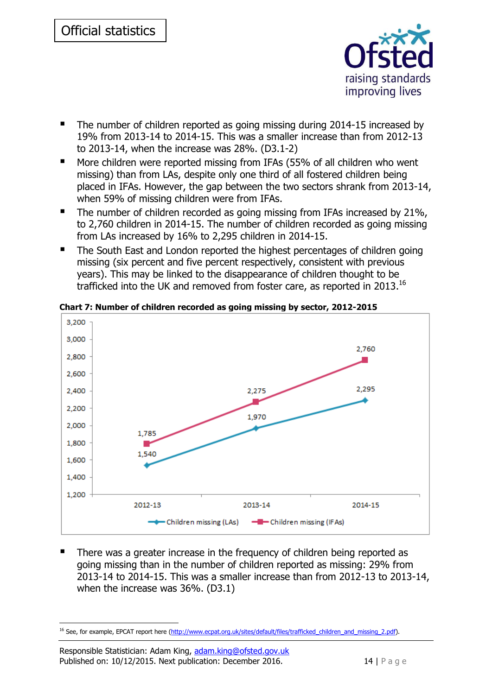

- The number of children reported as going missing during 2014-15 increased by 19% from 2013-14 to 2014-15. This was a smaller increase than from 2012-13 to 2013-14, when the increase was 28%. (D3.1-2)
- More children were reported missing from IFAs (55% of all children who went missing) than from LAs, despite only one third of all fostered children being placed in IFAs. However, the gap between the two sectors shrank from 2013-14, when 59% of missing children were from IFAs.
- The number of children recorded as going missing from IFAs increased by 21%, to 2,760 children in 2014-15. The number of children recorded as going missing from LAs increased by 16% to 2,295 children in 2014-15.
- The South East and London reported the highest percentages of children going missing (six percent and five percent respectively, consistent with previous years). This may be linked to the disappearance of children thought to be trafficked into the UK and removed from foster care, as reported in 2013. $^{16}$



<span id="page-13-0"></span>**Chart 7: Number of children recorded as going missing by sector, 2012-2015**

 There was a greater increase in the frequency of children being reported as going missing than in the number of children reported as missing: 29% from 2013-14 to 2014-15. This was a smaller increase than from 2012-13 to 2013-14, when the increase was 36%. (D3.1)

<sup>-</sup><sup>16</sup> See, for example, EPCAT report here [\(http://www.ecpat.org.uk/sites/default/files/trafficked\\_children\\_and\\_missing\\_2.pdf\)](http://www.ecpat.org.uk/sites/default/files/trafficked_children_and_missing_2.pdf).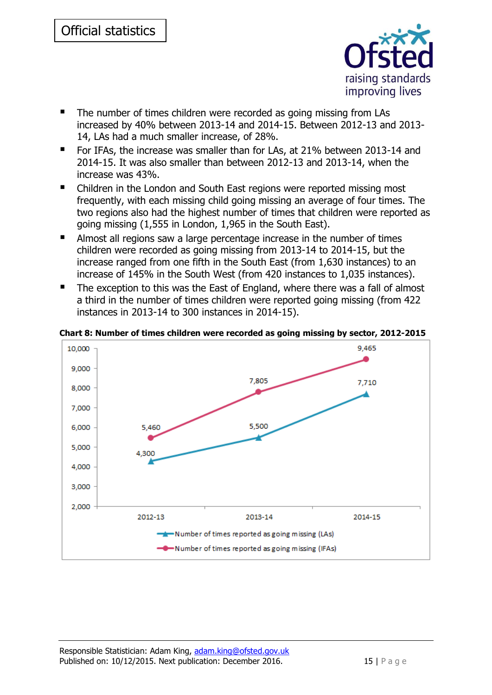

- The number of times children were recorded as going missing from LAs increased by 40% between 2013-14 and 2014-15. Between 2012-13 and 2013- 14, LAs had a much smaller increase, of 28%.
- For IFAs, the increase was smaller than for LAs, at 21% between 2013-14 and 2014-15. It was also smaller than between 2012-13 and 2013-14, when the increase was 43%.
- Children in the London and South East regions were reported missing most frequently, with each missing child going missing an average of four times. The two regions also had the highest number of times that children were reported as going missing (1,555 in London, 1,965 in the South East).
- Almost all regions saw a large percentage increase in the number of times children were recorded as going missing from 2013-14 to 2014-15, but the increase ranged from one fifth in the South East (from 1,630 instances) to an increase of 145% in the South West (from 420 instances to 1,035 instances).
- The exception to this was the East of England, where there was a fall of almost a third in the number of times children were reported going missing (from 422 instances in 2013-14 to 300 instances in 2014-15).



<span id="page-14-0"></span>**Chart 8: Number of times children were recorded as going missing by sector, 2012-2015**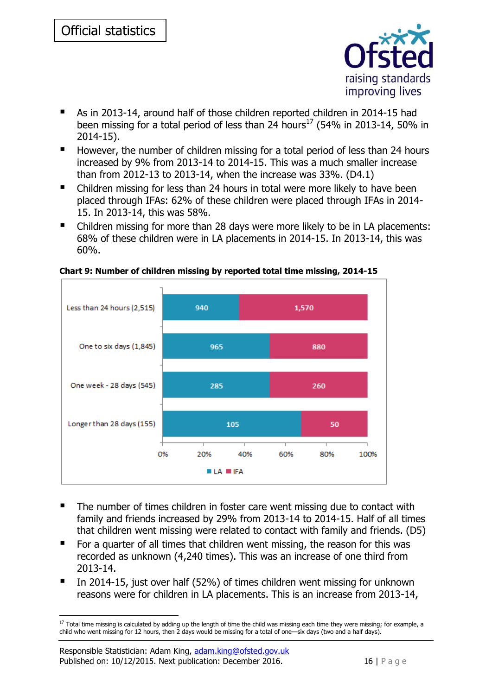

- As in 2013-14, around half of those children reported children in 2014-15 had been missing for a total period of less than 24 hours<sup>17</sup> (54% in 2013-14, 50% in 2014-15).
- However, the number of children missing for a total period of less than 24 hours increased by 9% from 2013-14 to 2014-15. This was a much smaller increase than from 2012-13 to 2013-14, when the increase was 33%. (D4.1)
- Children missing for less than 24 hours in total were more likely to have been placed through IFAs: 62% of these children were placed through IFAs in 2014- 15. In 2013-14, this was 58%.
- Children missing for more than 28 days were more likely to be in LA placements: 68% of these children were in LA placements in 2014-15. In 2013-14, this was 60%.



<span id="page-15-0"></span>**Chart 9: Number of children missing by reported total time missing, 2014-15**

- The number of times children in foster care went missing due to contact with family and friends increased by 29% from 2013-14 to 2014-15. Half of all times that children went missing were related to contact with family and friends. (D5)
- For a quarter of all times that children went missing, the reason for this was recorded as unknown (4,240 times). This was an increase of one third from 2013-14.
- In 2014-15, just over half (52%) of times children went missing for unknown reasons were for children in LA placements. This is an increase from 2013-14,

<sup>-</sup> $17$  Total time missing is calculated by adding up the length of time the child was missing each time they were missing; for example, a child who went missing for 12 hours, then 2 days would be missing for a total of one—six days (two and a half days).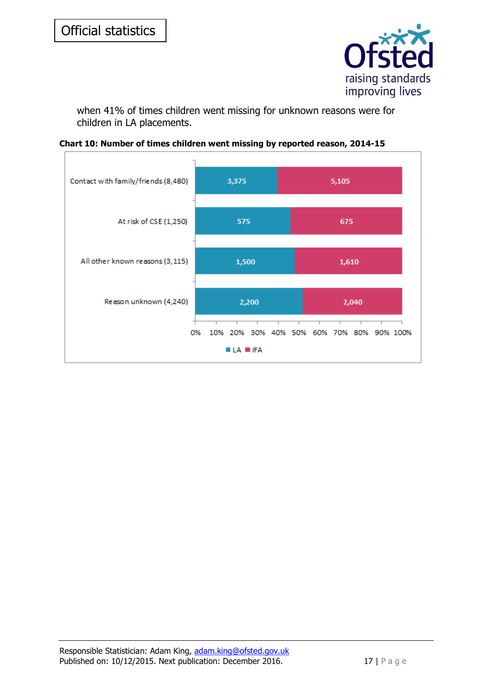

when 41% of times children went missing for unknown reasons were for children in LA placements.

<span id="page-16-0"></span>

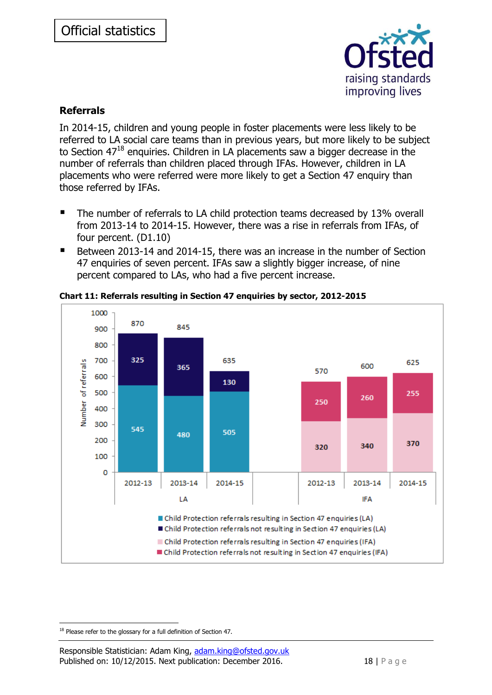

# <span id="page-17-0"></span>**Referrals**

In 2014-15, children and young people in foster placements were less likely to be referred to LA social care teams than in previous years, but more likely to be subject to Section  $47^{18}$  enguiries. Children in LA placements saw a bigger decrease in the number of referrals than children placed through IFAs. However, children in LA placements who were referred were more likely to get a Section 47 enquiry than those referred by IFAs.

- The number of referrals to LA child protection teams decreased by 13% overall from 2013-14 to 2014-15. However, there was a rise in referrals from IFAs, of four percent. (D1.10)
- Between 2013-14 and 2014-15, there was an increase in the number of Section 47 enquiries of seven percent. IFAs saw a slightly bigger increase, of nine percent compared to LAs, who had a five percent increase.



<span id="page-17-1"></span>**Chart 11: Referrals resulting in Section 47 enquiries by sector, 2012-2015**

<sup>-</sup> $18$  Please refer to the glossary for a full definition of Section 47.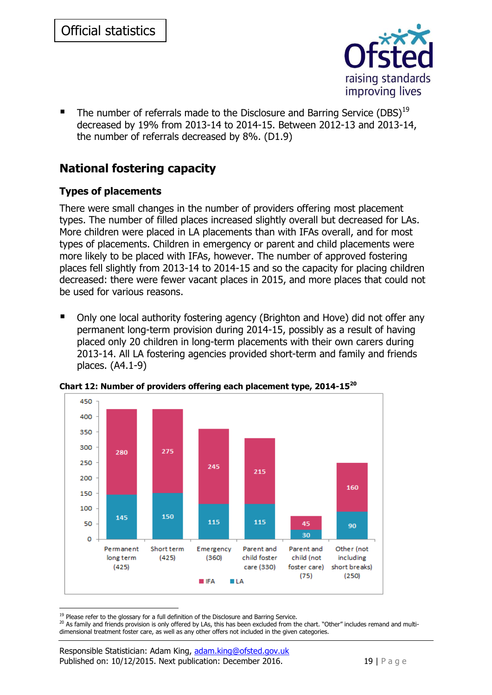

The number of referrals made to the Disclosure and Barring Service (DBS)<sup>19</sup> decreased by 19% from 2013-14 to 2014-15. Between 2012-13 and 2013-14, the number of referrals decreased by 8%. (D1.9)

# <span id="page-18-0"></span>**National fostering capacity**

# <span id="page-18-1"></span>**Types of placements**

There were small changes in the number of providers offering most placement types. The number of filled places increased slightly overall but decreased for LAs. More children were placed in LA placements than with IFAs overall, and for most types of placements. Children in emergency or parent and child placements were more likely to be placed with IFAs, however. The number of approved fostering places fell slightly from 2013-14 to 2014-15 and so the capacity for placing children decreased: there were fewer vacant places in 2015, and more places that could not be used for various reasons.

 Only one local authority fostering agency (Brighton and Hove) did not offer any permanent long-term provision during 2014-15, possibly as a result of having placed only 20 children in long-term placements with their own carers during 2013-14. All LA fostering agencies provided short-term and family and friends places. (A4.1-9)



<span id="page-18-2"></span>**Chart 12: Number of providers offering each placement type, 2014-15<sup>20</sup>**

-

<sup>&</sup>lt;sup>19</sup> Please refer to the glossary for a full definition of the Disclosure and Barring Service.

<sup>&</sup>lt;sup>20</sup> As family and friends provision is only offered by LAs, this has been excluded from the chart. "Other" includes remand and multidimensional treatment foster care, as well as any other offers not included in the given categories.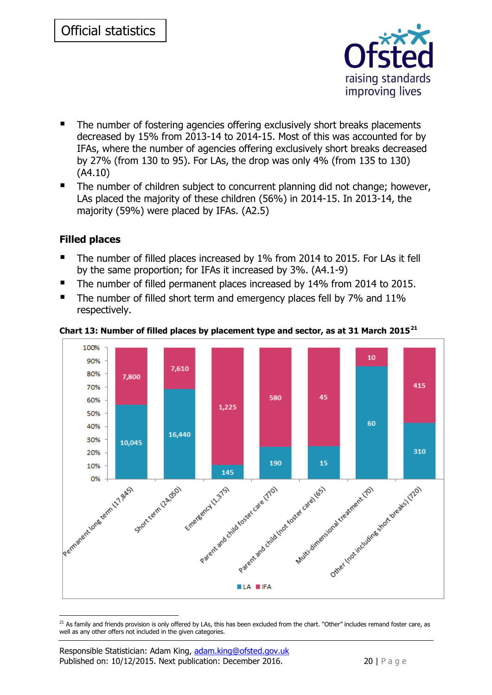

- The number of fostering agencies offering exclusively short breaks placements decreased by 15% from 2013-14 to 2014-15. Most of this was accounted for by IFAs, where the number of agencies offering exclusively short breaks decreased by 27% (from 130 to 95). For LAs, the drop was only 4% (from 135 to 130) (A4.10)
- The number of children subject to concurrent planning did not change; however, LAs placed the majority of these children (56%) in 2014-15. In 2013-14, the majority (59%) were placed by IFAs. (A2.5)

# <span id="page-19-0"></span>**Filled places**

- The number of filled places increased by 1% from 2014 to 2015. For LAs it fell by the same proportion; for IFAs it increased by 3%. (A4.1-9)
- The number of filled permanent places increased by 14% from 2014 to 2015.
- The number of filled short term and emergency places fell by 7% and 11% respectively.



#### <span id="page-19-1"></span>**Chart 13: Number of filled places by placement type and sector, as at 31 March 2015<sup>21</sup>**

 $21$  As family and friends provision is only offered by LAs, this has been excluded from the chart. "Other" includes remand foster care, as well as any other offers not included in the given categories.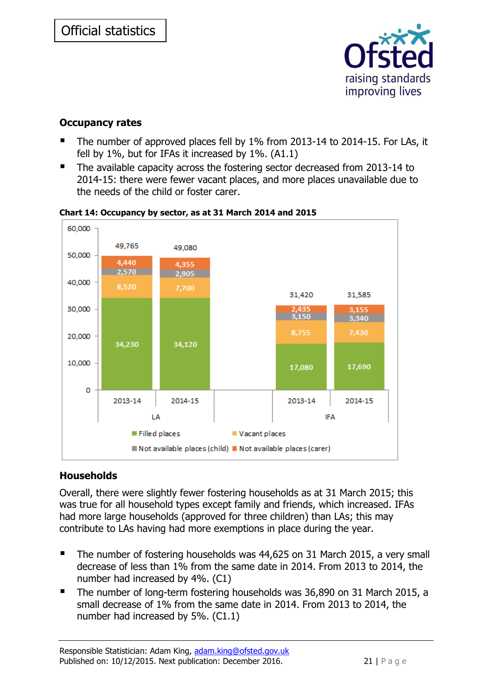

# <span id="page-20-0"></span>**Occupancy rates**

- The number of approved places fell by 1% from 2013-14 to 2014-15. For LAs, it fell by 1%, but for IFAs it increased by 1%. (A1.1)
- The available capacity across the fostering sector decreased from 2013-14 to 2014-15: there were fewer vacant places, and more places unavailable due to the needs of the child or foster carer.



### <span id="page-20-2"></span>**Chart 14: Occupancy by sector, as at 31 March 2014 and 2015**

# <span id="page-20-1"></span>**Households**

Overall, there were slightly fewer fostering households as at 31 March 2015; this was true for all household types except family and friends, which increased. IFAs had more large households (approved for three children) than LAs; this may contribute to LAs having had more exemptions in place during the year.

- The number of fostering households was 44,625 on 31 March 2015, a very small decrease of less than 1% from the same date in 2014. From 2013 to 2014, the number had increased by 4%. (C1)
- The number of long-term fostering households was 36,890 on 31 March 2015, a small decrease of 1% from the same date in 2014. From 2013 to 2014, the number had increased by 5%. (C1.1)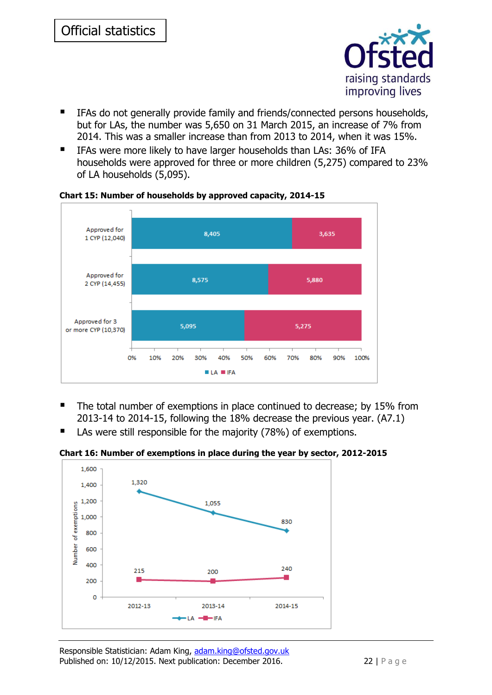

- IFAs do not generally provide family and friends/connected persons households, but for LAs, the number was 5,650 on 31 March 2015, an increase of 7% from 2014. This was a smaller increase than from 2013 to 2014, when it was 15%.
- IFAs were more likely to have larger households than LAs: 36% of IFA households were approved for three or more children (5,275) compared to 23% of LA households (5,095).



<span id="page-21-0"></span>**Chart 15: Number of households by approved capacity, 2014-15**

- The total number of exemptions in place continued to decrease; by 15% from 2013-14 to 2014-15, following the 18% decrease the previous year. (A7.1)
- LAs were still responsible for the majority (78%) of exemptions.

<span id="page-21-1"></span>**Chart 16: Number of exemptions in place during the year by sector, 2012-2015**

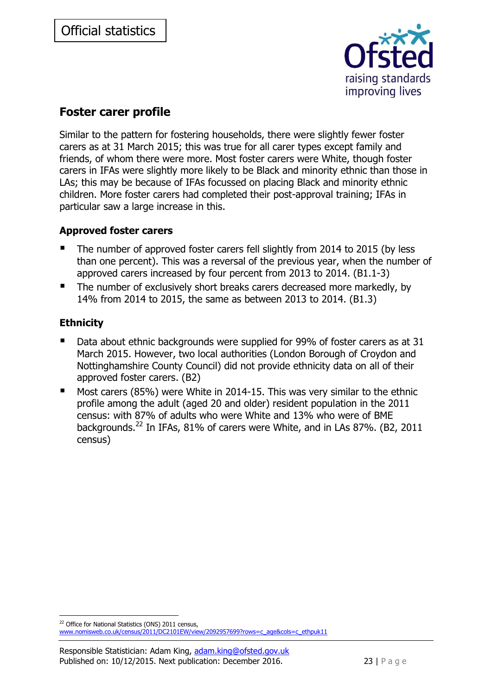

# <span id="page-22-0"></span>**Foster carer profile**

Similar to the pattern for fostering households, there were slightly fewer foster carers as at 31 March 2015; this was true for all carer types except family and friends, of whom there were more. Most foster carers were White, though foster carers in IFAs were slightly more likely to be Black and minority ethnic than those in LAs; this may be because of IFAs focussed on placing Black and minority ethnic children. More foster carers had completed their post-approval training; IFAs in particular saw a large increase in this.

# <span id="page-22-1"></span>**Approved foster carers**

- The number of approved foster carers fell slightly from 2014 to 2015 (by less than one percent). This was a reversal of the previous year, when the number of approved carers increased by four percent from 2013 to 2014. (B1.1-3)
- The number of exclusively short breaks carers decreased more markedly, by 14% from 2014 to 2015, the same as between 2013 to 2014. (B1.3)

# <span id="page-22-2"></span>**Ethnicity**

- Data about ethnic backgrounds were supplied for 99% of foster carers as at 31 March 2015. However, two local authorities (London Borough of Croydon and Nottinghamshire County Council) did not provide ethnicity data on all of their approved foster carers. (B2)
- Most carers (85%) were White in 2014-15. This was very similar to the ethnic profile among the adult (aged 20 and older) resident population in the 2011 census: with 87% of adults who were White and 13% who were of BME backgrounds.<sup>22</sup> In IFAs, 81% of carers were White, and in LAs 87%. (B2, 2011 census)

<sup>-</sup><sup>22</sup> Office for National Statistics (ONS) 2011 census,

[www.nomisweb.co.uk/census/2011/DC2101EW/view/2092957699?rows=c\\_age&cols=c\\_ethpuk11](http://www.nomisweb.co.uk/census/2011/DC2101EW/view/2092957699?rows=c_age&cols=c_ethpuk11)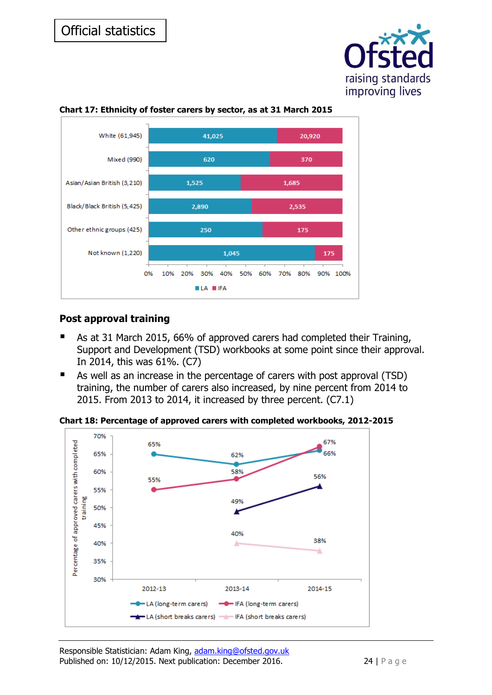



#### <span id="page-23-1"></span>**Chart 17: Ethnicity of foster carers by sector, as at 31 March 2015**

# <span id="page-23-0"></span>**Post approval training**

- As at 31 March 2015, 66% of approved carers had completed their Training, Support and Development (TSD) workbooks at some point since their approval. In 2014, this was 61%. (C7)
- As well as an increase in the percentage of carers with post approval (TSD) training, the number of carers also increased, by nine percent from 2014 to 2015. From 2013 to 2014, it increased by three percent. (C7.1)

<span id="page-23-2"></span>**Chart 18: Percentage of approved carers with completed workbooks, 2012-2015**

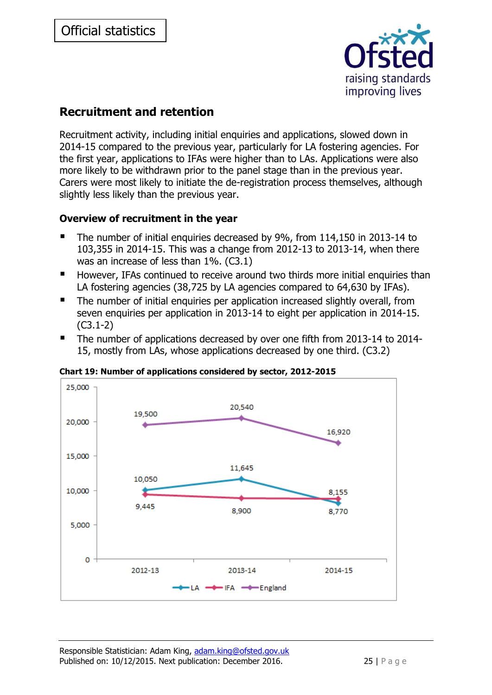

# <span id="page-24-0"></span>**Recruitment and retention**

Recruitment activity, including initial enquiries and applications, slowed down in 2014-15 compared to the previous year, particularly for LA fostering agencies. For the first year, applications to IFAs were higher than to LAs. Applications were also more likely to be withdrawn prior to the panel stage than in the previous year. Carers were most likely to initiate the de-registration process themselves, although slightly less likely than the previous year.

### <span id="page-24-1"></span>**Overview of recruitment in the year**

- The number of initial enquiries decreased by 9%, from 114,150 in 2013-14 to 103,355 in 2014-15. This was a change from 2012-13 to 2013-14, when there was an increase of less than 1%. (C3.1)
- However, IFAs continued to receive around two thirds more initial enquiries than LA fostering agencies (38,725 by LA agencies compared to 64,630 by IFAs).
- The number of initial enquiries per application increased slightly overall, from seven enquiries per application in 2013-14 to eight per application in 2014-15. (C3.1-2)
- The number of applications decreased by over one fifth from 2013-14 to 2014-15, mostly from LAs, whose applications decreased by one third. (C3.2)



#### <span id="page-24-2"></span>**Chart 19: Number of applications considered by sector, 2012-2015**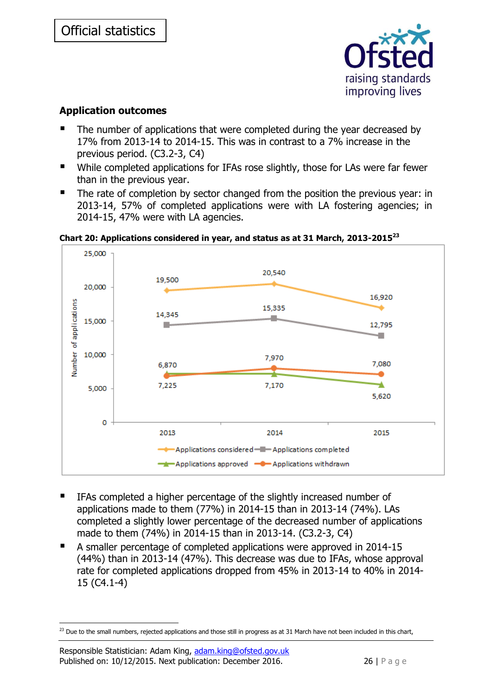

# <span id="page-25-0"></span>**Application outcomes**

- The number of applications that were completed during the year decreased by 17% from 2013-14 to 2014-15. This was in contrast to a 7% increase in the previous period. (C3.2-3, C4)
- While completed applications for IFAs rose slightly, those for LAs were far fewer than in the previous year.
- The rate of completion by sector changed from the position the previous year: in 2013-14, 57% of completed applications were with LA fostering agencies; in 2014-15, 47% were with LA agencies.

<span id="page-25-1"></span>**Chart 20: Applications considered in year, and status as at 31 March, 2013-2015<sup>23</sup>**



- IFAs completed a higher percentage of the slightly increased number of applications made to them (77%) in 2014-15 than in 2013-14 (74%). LAs completed a slightly lower percentage of the decreased number of applications made to them (74%) in 2014-15 than in 2013-14. (C3.2-3, C4)
- A smaller percentage of completed applications were approved in 2014-15 (44%) than in 2013-14 (47%). This decrease was due to IFAs, whose approval rate for completed applications dropped from 45% in 2013-14 to 40% in 2014- 15 (C4.1-4)

<sup>-</sup><sup>23</sup> Due to the small numbers, rejected applications and those still in progress as at 31 March have not been included in this chart,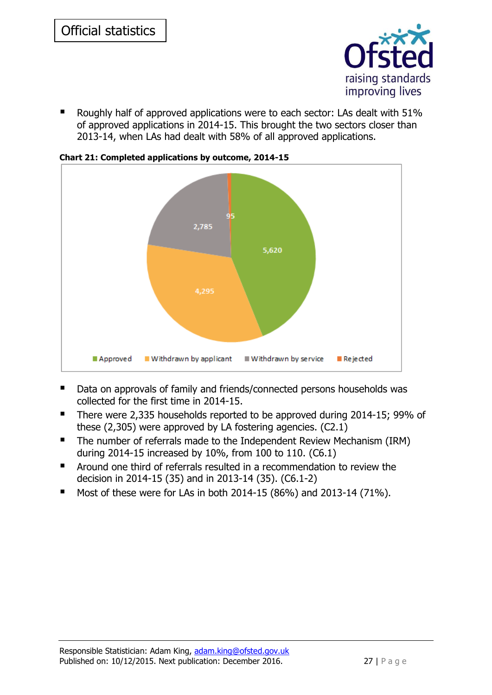

■ Roughly half of approved applications were to each sector: LAs dealt with 51% of approved applications in 2014-15. This brought the two sectors closer than 2013-14, when LAs had dealt with 58% of all approved applications.



<span id="page-26-0"></span>**Chart 21: Completed applications by outcome, 2014-15**

- Data on approvals of family and friends/connected persons households was collected for the first time in 2014-15.
- There were 2,335 households reported to be approved during 2014-15; 99% of these (2,305) were approved by LA fostering agencies. (C2.1)
- The number of referrals made to the Independent Review Mechanism (IRM) during 2014-15 increased by 10%, from 100 to 110. (C6.1)
- Around one third of referrals resulted in a recommendation to review the decision in 2014-15 (35) and in 2013-14 (35). (C6.1-2)
- Most of these were for LAs in both  $2014-15$  (86%) and  $2013-14$  (71%).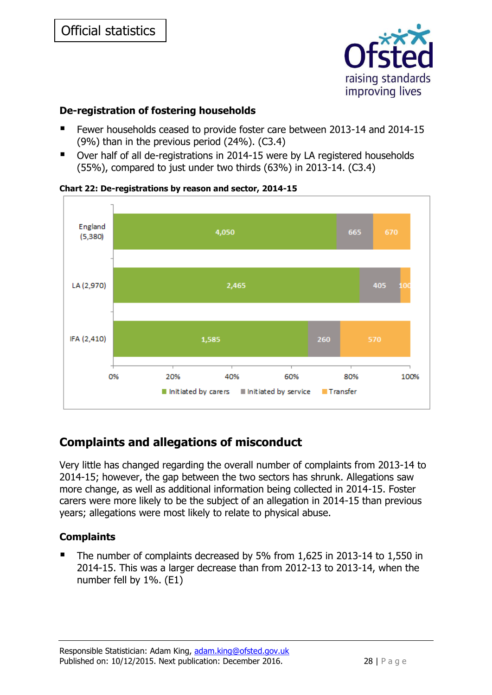

# <span id="page-27-0"></span>**De-registration of fostering households**

- Fewer households ceased to provide foster care between 2013-14 and 2014-15 (9%) than in the previous period (24%). (C3.4)
- Over half of all de-registrations in 2014-15 were by LA registered households (55%), compared to just under two thirds (63%) in 2013-14. (C3.4)



#### <span id="page-27-3"></span>**Chart 22: De-registrations by reason and sector, 2014-15**

# <span id="page-27-1"></span>**Complaints and allegations of misconduct**

Very little has changed regarding the overall number of complaints from 2013-14 to 2014-15; however, the gap between the two sectors has shrunk. Allegations saw more change, as well as additional information being collected in 2014-15. Foster carers were more likely to be the subject of an allegation in 2014-15 than previous years; allegations were most likely to relate to physical abuse.

# <span id="page-27-2"></span>**Complaints**

■ The number of complaints decreased by 5% from 1,625 in 2013-14 to 1,550 in 2014-15. This was a larger decrease than from 2012-13 to 2013-14, when the number fell by 1%. (E1)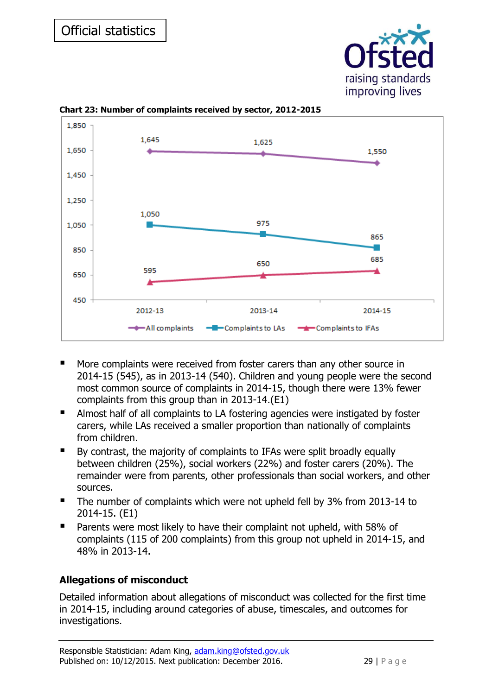



<span id="page-28-1"></span>**Chart 23: Number of complaints received by sector, 2012-2015**

- More complaints were received from foster carers than any other source in 2014-15 (545), as in 2013-14 (540). Children and young people were the second most common source of complaints in 2014-15, though there were 13% fewer complaints from this group than in 2013-14.(E1)
- Almost half of all complaints to LA fostering agencies were instigated by foster carers, while LAs received a smaller proportion than nationally of complaints from children.
- By contrast, the majority of complaints to IFAs were split broadly equally between children (25%), social workers (22%) and foster carers (20%). The remainder were from parents, other professionals than social workers, and other sources.
- The number of complaints which were not upheld fell by 3% from 2013-14 to 2014-15. (E1)
- **Parents were most likely to have their complaint not upheld, with 58% of** complaints (115 of 200 complaints) from this group not upheld in 2014-15, and 48% in 2013-14.

# <span id="page-28-0"></span>**Allegations of misconduct**

Detailed information about allegations of misconduct was collected for the first time in 2014-15, including around categories of abuse, timescales, and outcomes for investigations.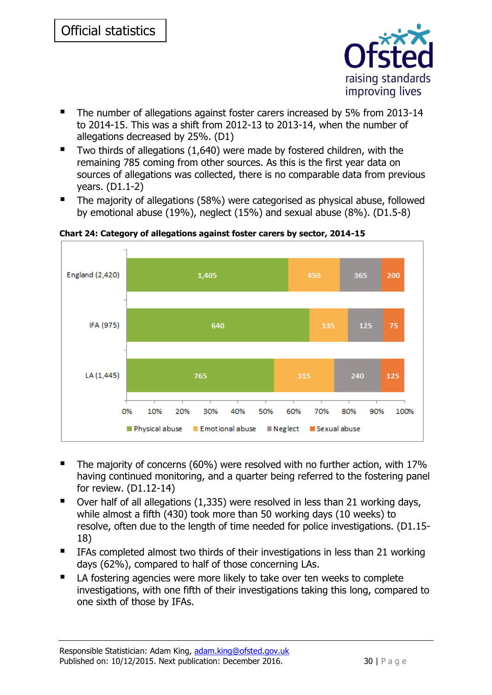

- The number of allegations against foster carers increased by 5% from 2013-14 to 2014-15. This was a shift from 2012-13 to 2013-14, when the number of allegations decreased by 25%. (D1)
- Two thirds of allegations  $(1,640)$  were made by fostered children, with the remaining 785 coming from other sources. As this is the first year data on sources of allegations was collected, there is no comparable data from previous years. (D1.1-2)
- The majority of allegations (58%) were categorised as physical abuse, followed by emotional abuse (19%), neglect (15%) and sexual abuse (8%). (D1.5-8)



<span id="page-29-0"></span>**Chart 24: Category of allegations against foster carers by sector, 2014-15**

- The majority of concerns (60%) were resolved with no further action, with 17% having continued monitoring, and a quarter being referred to the fostering panel for review. (D1.12-14)
- $\blacksquare$  Over half of all allegations (1,335) were resolved in less than 21 working days, while almost a fifth (430) took more than 50 working days (10 weeks) to resolve, often due to the length of time needed for police investigations. (D1.15- 18)
- IFAs completed almost two thirds of their investigations in less than 21 working days (62%), compared to half of those concerning LAs.
- LA fostering agencies were more likely to take over ten weeks to complete investigations, with one fifth of their investigations taking this long, compared to one sixth of those by IFAs.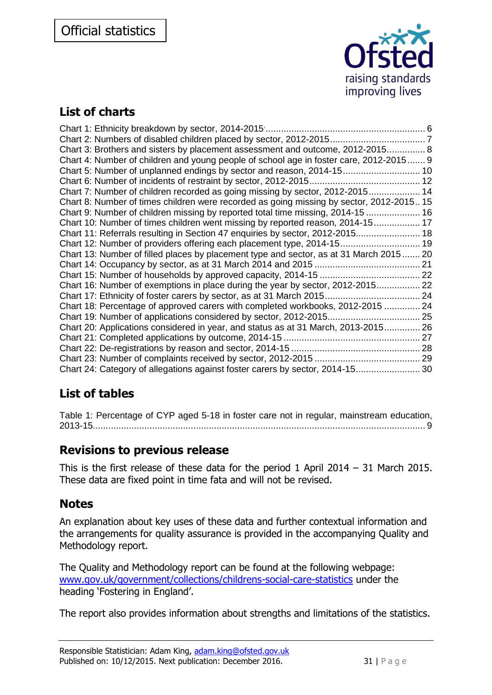

# <span id="page-30-0"></span>**List of charts**

| Chart 3: Brothers and sisters by placement assessment and outcome, 2012-2015 8           |  |
|------------------------------------------------------------------------------------------|--|
| Chart 4: Number of children and young people of school age in foster care, 2012-2015 9   |  |
| Chart 5: Number of unplanned endings by sector and reason, 2014-15 10                    |  |
|                                                                                          |  |
| Chart 7: Number of children recorded as going missing by sector, 2012-2015 14            |  |
| Chart 8: Number of times children were recorded as going missing by sector, 2012-2015 15 |  |
| Chart 9: Number of children missing by reported total time missing, 2014-15  16          |  |
| Chart 10: Number of times children went missing by reported reason, 2014-15 17           |  |
| Chart 11: Referrals resulting in Section 47 enquiries by sector, 2012-2015 18            |  |
| Chart 12: Number of providers offering each placement type, 2014-15 19                   |  |
| Chart 13: Number of filled places by placement type and sector, as at 31 March 2015 20   |  |
|                                                                                          |  |
|                                                                                          |  |
| Chart 16: Number of exemptions in place during the year by sector, 2012-2015 22          |  |
|                                                                                          |  |
| Chart 18: Percentage of approved carers with completed workbooks, 2012-2015  24          |  |
|                                                                                          |  |
| Chart 20: Applications considered in year, and status as at 31 March, 2013-2015 26       |  |
|                                                                                          |  |
|                                                                                          |  |
|                                                                                          |  |
| Chart 24: Category of allegations against foster carers by sector, 2014-15 30            |  |

# <span id="page-30-1"></span>**List of tables**

[Table 1: Percentage of CYP aged 5-18 in foster care not in regular, mainstream education,](#page-8-1)  [2013-15.................................................................................................................................](#page-8-1) 9

# <span id="page-30-2"></span>**Revisions to previous release**

This is the first release of these data for the period 1 April 2014 – 31 March 2015. These data are fixed point in time fata and will not be revised.

# <span id="page-30-3"></span>**Notes**

An explanation about key uses of these data and further contextual information and the arrangements for quality assurance is provided in the accompanying Quality and Methodology report.

The Quality and Methodology report can be found at the following webpage: [www.gov.uk/government/collections/childrens-social-care-statistics](https://www.gov.uk/government/collections/childrens-social-care-statistics) under the heading 'Fostering in England'.

The report also provides information about strengths and limitations of the statistics.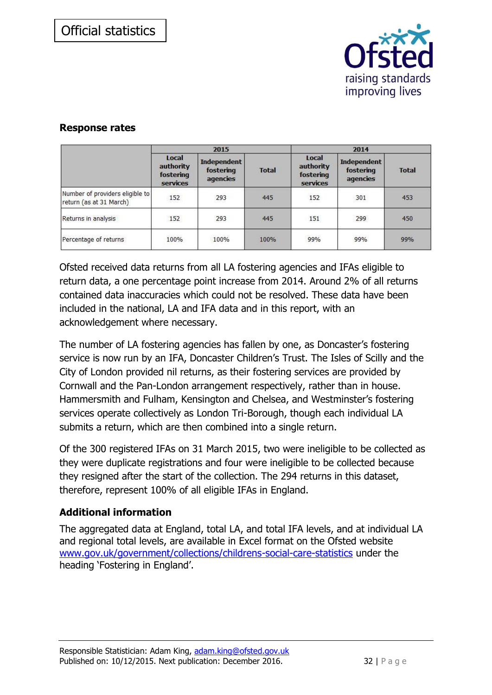

### <span id="page-31-0"></span>**Response rates**

|                                                            | 2015                                        |                                             |              | 2014                                        |                                      |              |
|------------------------------------------------------------|---------------------------------------------|---------------------------------------------|--------------|---------------------------------------------|--------------------------------------|--------------|
|                                                            | Local<br>authority<br>fostering<br>services | <b>Independent</b><br>fostering<br>agencies | <b>Total</b> | Local<br>authority<br>fostering<br>services | Independent<br>fostering<br>agencies | <b>Total</b> |
| Number of providers eligible to<br>return (as at 31 March) | 152<br>1922                                 | 293<br>--                                   | 445          | 152                                         | 301                                  | 453          |
| Returns in analysis                                        | 152                                         | 293                                         | 445          | 151                                         | 299                                  | 450          |
| Percentage of returns                                      | 100%                                        | 100%                                        | 100%         | 99%                                         | 99%                                  | 99%          |

Ofsted received data returns from all LA fostering agencies and IFAs eligible to return data, a one percentage point increase from 2014. Around 2% of all returns contained data inaccuracies which could not be resolved. These data have been included in the national, LA and IFA data and in this report, with an acknowledgement where necessary.

The number of LA fostering agencies has fallen by one, as Doncaster's fostering service is now run by an IFA, Doncaster Children's Trust. The Isles of Scilly and the City of London provided nil returns, as their fostering services are provided by Cornwall and the Pan-London arrangement respectively, rather than in house. Hammersmith and Fulham, Kensington and Chelsea, and Westminster's fostering services operate collectively as London Tri-Borough, though each individual LA submits a return, which are then combined into a single return.

Of the 300 registered IFAs on 31 March 2015, two were ineligible to be collected as they were duplicate registrations and four were ineligible to be collected because they resigned after the start of the collection. The 294 returns in this dataset, therefore, represent 100% of all eligible IFAs in England.

# <span id="page-31-1"></span>**Additional information**

The aggregated data at England, total LA, and total IFA levels, and at individual LA and regional total levels, are available in Excel format on the Ofsted website [www.gov.uk/government/collections/childrens-social-care-statistics](https://www.gov.uk/government/collections/childrens-social-care-statistics) under the heading 'Fostering in England'.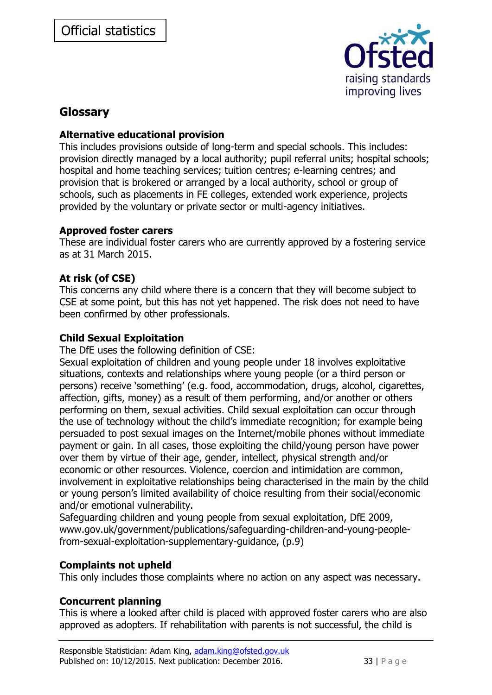

# <span id="page-32-0"></span>**Glossary**

### **Alternative educational provision**

This includes provisions outside of long-term and special schools. This includes: provision directly managed by a local authority; pupil referral units; hospital schools; hospital and home teaching services; tuition centres; e-learning centres; and provision that is brokered or arranged by a local authority, school or group of schools, such as placements in FE colleges, extended work experience, projects provided by the voluntary or private sector or multi-agency initiatives.

### **Approved foster carers**

These are individual foster carers who are currently approved by a fostering service as at 31 March 2015.

### **At risk (of CSE)**

This concerns any child where there is a concern that they will become subject to CSE at some point, but this has not yet happened. The risk does not need to have been confirmed by other professionals.

### **Child Sexual Exploitation**

The DfE uses the following definition of CSE:

Sexual exploitation of children and young people under 18 involves exploitative situations, contexts and relationships where young people (or a third person or persons) receive 'something' (e.g. food, accommodation, drugs, alcohol, cigarettes, affection, gifts, money) as a result of them performing, and/or another or others performing on them, sexual activities. Child sexual exploitation can occur through the use of technology without the child's immediate recognition; for example being persuaded to post sexual images on the Internet/mobile phones without immediate payment or gain. In all cases, those exploiting the child/young person have power over them by virtue of their age, gender, intellect, physical strength and/or economic or other resources. Violence, coercion and intimidation are common, involvement in exploitative relationships being characterised in the main by the child or young person's limited availability of choice resulting from their social/economic and/or emotional vulnerability.

Safeguarding children and young people from sexual exploitation, DfE 2009, www.gov.uk/government/publications/safeguarding-children-and-young-peoplefrom-sexual-exploitation-supplementary-guidance, (p.9)

### **Complaints not upheld**

This only includes those complaints where no action on any aspect was necessary.

# **Concurrent planning**

This is where a looked after child is placed with approved foster carers who are also approved as adopters. If rehabilitation with parents is not successful, the child is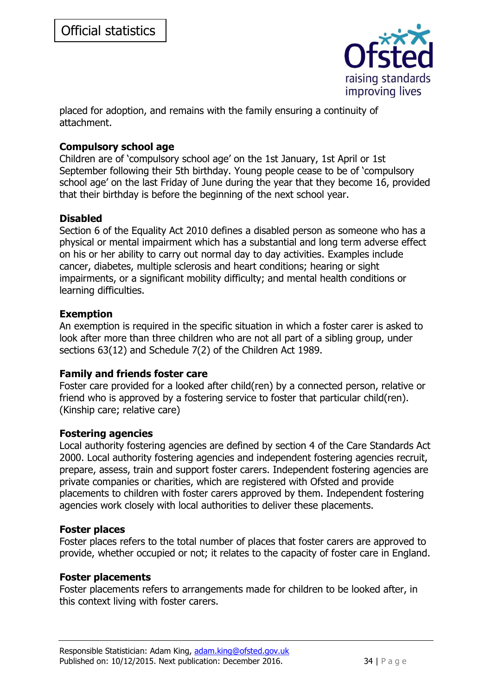

placed for adoption, and remains with the family ensuring a continuity of attachment.

### **Compulsory school age**

Children are of 'compulsory school age' on the 1st January, 1st April or 1st September following their 5th birthday. Young people cease to be of 'compulsory school age' on the last Friday of June during the year that they become 16, provided that their birthday is before the beginning of the next school year.

### **Disabled**

Section 6 of the Equality Act 2010 defines a disabled person as someone who has a physical or mental impairment which has a substantial and long term adverse effect on his or her ability to carry out normal day to day activities. Examples include cancer, diabetes, multiple sclerosis and heart conditions; hearing or sight impairments, or a significant mobility difficulty; and mental health conditions or learning difficulties.

### **Exemption**

An exemption is required in the specific situation in which a foster carer is asked to look after more than three children who are not all part of a sibling group, under sections 63(12) and Schedule 7(2) of the Children Act 1989.

#### **Family and friends foster care**

Foster care provided for a looked after child(ren) by a connected person, relative or friend who is approved by a fostering service to foster that particular child(ren). (Kinship care; relative care)

#### **Fostering agencies**

Local authority fostering agencies are defined by section 4 of the Care Standards Act 2000. Local authority fostering agencies and independent fostering agencies recruit, prepare, assess, train and support foster carers. Independent fostering agencies are private companies or charities, which are registered with Ofsted and provide placements to children with foster carers approved by them. Independent fostering agencies work closely with local authorities to deliver these placements.

#### **Foster places**

Foster places refers to the total number of places that foster carers are approved to provide, whether occupied or not; it relates to the capacity of foster care in England.

#### **Foster placements**

Foster placements refers to arrangements made for children to be looked after, in this context living with foster carers.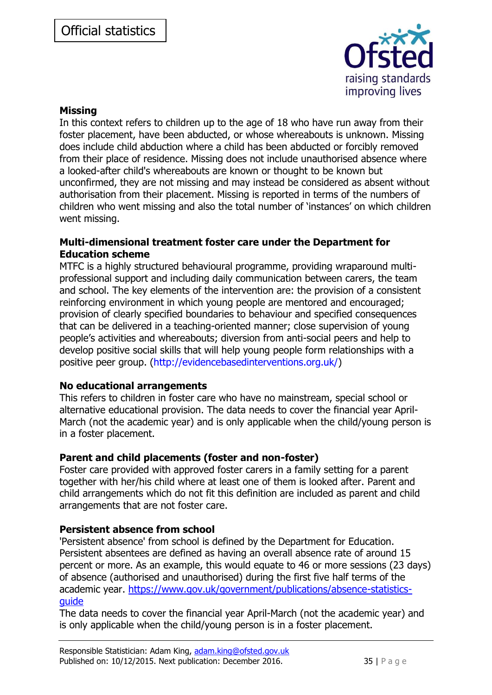

#### **Missing**

In this context refers to children up to the age of 18 who have run away from their foster placement, have been abducted, or whose whereabouts is unknown. Missing does include child abduction where a child has been abducted or forcibly removed from their place of residence. Missing does not include unauthorised absence where a looked-after child's whereabouts are known or thought to be known but unconfirmed, they are not missing and may instead be considered as absent without authorisation from their placement. Missing is reported in terms of the numbers of children who went missing and also the total number of 'instances' on which children went missing.

#### **Multi-dimensional treatment foster care under the Department for Education scheme**

MTFC is a highly structured behavioural programme, providing wraparound multiprofessional support and including daily communication between carers, the team and school. The key elements of the intervention are: the provision of a consistent reinforcing environment in which young people are mentored and encouraged; provision of clearly specified boundaries to behaviour and specified consequences that can be delivered in a teaching-oriented manner; close supervision of young people's activities and whereabouts; diversion from anti-social peers and help to develop positive social skills that will help young people form relationships with a positive peer group. (http://evidencebasedinterventions.org.uk/)

### **No educational arrangements**

This refers to children in foster care who have no mainstream, special school or alternative educational provision. The data needs to cover the financial year April-March (not the academic year) and is only applicable when the child/young person is in a foster placement.

### **Parent and child placements (foster and non-foster)**

Foster care provided with approved foster carers in a family setting for a parent together with her/his child where at least one of them is looked after. Parent and child arrangements which do not fit this definition are included as parent and child arrangements that are not foster care.

### **Persistent absence from school**

'Persistent absence' from school is defined by the Department for Education. Persistent absentees are defined as having an overall absence rate of around 15 percent or more. As an example, this would equate to 46 or more sessions (23 days) of absence (authorised and unauthorised) during the first five half terms of the academic year. [https://www.gov.uk/government/publications/absence-statistics](https://www.gov.uk/government/publications/absence-statistics-guide)[guide](https://www.gov.uk/government/publications/absence-statistics-guide)

The data needs to cover the financial year April-March (not the academic year) and is only applicable when the child/young person is in a foster placement.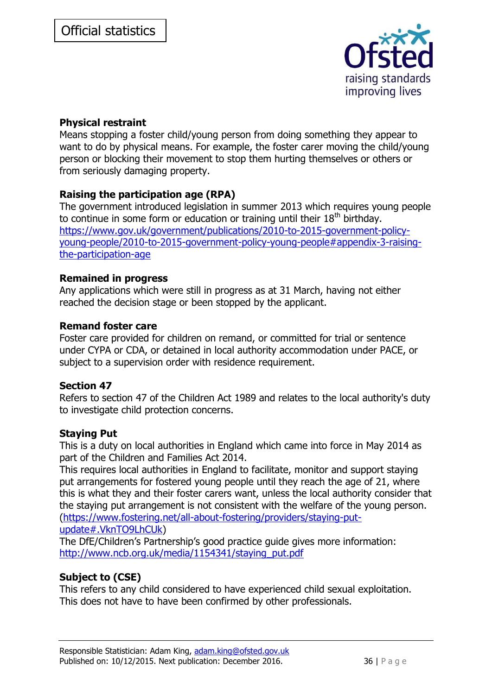

### **Physical restraint**

Means stopping a foster child/young person from doing something they appear to want to do by physical means. For example, the foster carer moving the child/young person or blocking their movement to stop them hurting themselves or others or from seriously damaging property.

### **Raising the participation age (RPA)**

The government introduced legislation in summer 2013 which requires young people to continue in some form or education or training until their  $18<sup>th</sup>$  birthday. [https://www.gov.uk/government/publications/2010-to-2015-government-policy](https://www.gov.uk/government/publications/2010-to-2015-government-policy-young-people/2010-to-2015-government-policy-young-people#appendix-3-raising-the-participation-age)[young-people/2010-to-2015-government-policy-young-people#appendix-3-raising](https://www.gov.uk/government/publications/2010-to-2015-government-policy-young-people/2010-to-2015-government-policy-young-people#appendix-3-raising-the-participation-age)[the-participation-age](https://www.gov.uk/government/publications/2010-to-2015-government-policy-young-people/2010-to-2015-government-policy-young-people#appendix-3-raising-the-participation-age)

### **Remained in progress**

Any applications which were still in progress as at 31 March, having not either reached the decision stage or been stopped by the applicant.

#### **Remand foster care**

Foster care provided for children on remand, or committed for trial or sentence under CYPA or CDA, or detained in local authority accommodation under PACE, or subject to a supervision order with residence requirement.

### **Section 47**

Refers to section 47 of the Children Act 1989 and relates to the local authority's duty to investigate child protection concerns.

### **Staying Put**

This is a duty on local authorities in England which came into force in May 2014 as part of the Children and Families Act 2014.

This requires local authorities in England to facilitate, monitor and support staying put arrangements for fostered young people until they reach the age of 21, where this is what they and their foster carers want, unless the local authority consider that the staying put arrangement is not consistent with the welfare of the young person. [\(https://www.fostering.net/all-about-fostering/providers/staying-put](https://www.fostering.net/all-about-fostering/providers/staying-put-update#.VknTO9LhCUk)[update#.VknTO9LhCUk\)](https://www.fostering.net/all-about-fostering/providers/staying-put-update#.VknTO9LhCUk)

The DfE/Children's Partnership's good practice guide gives more information: [http://www.ncb.org.uk/media/1154341/staying\\_put.pdf](http://www.ncb.org.uk/media/1154341/staying_put.pdf)

### **Subject to (CSE)**

This refers to any child considered to have experienced child sexual exploitation. This does not have to have been confirmed by other professionals.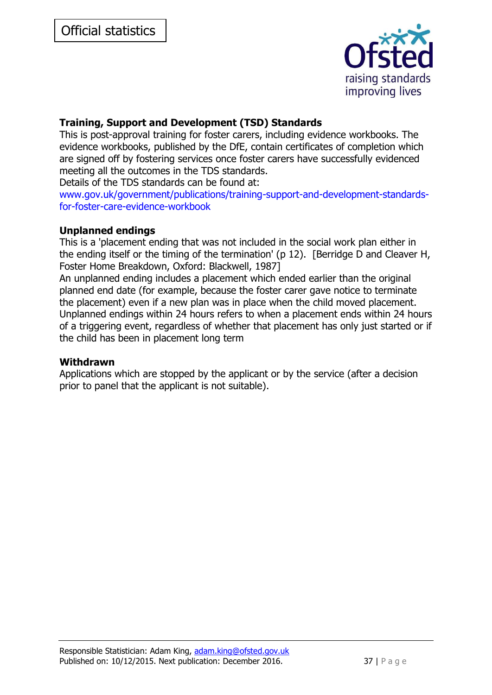

# **Training, Support and Development (TSD) Standards**

This is post-approval training for foster carers, including evidence workbooks. The evidence workbooks, published by the DfE, contain certificates of completion which are signed off by fostering services once foster carers have successfully evidenced meeting all the outcomes in the TDS standards.

Details of the TDS standards can be found at:

www.gov.uk/government/publications/training-support-and-development-standardsfor-foster-care-evidence-workbook

#### **Unplanned endings**

This is a 'placement ending that was not included in the social work plan either in the ending itself or the timing of the termination' (p 12). [Berridge D and Cleaver H, Foster Home Breakdown, Oxford: Blackwell, 1987]

An unplanned ending includes a placement which ended earlier than the original planned end date (for example, because the foster carer gave notice to terminate the placement) even if a new plan was in place when the child moved placement. Unplanned endings within 24 hours refers to when a placement ends within 24 hours of a triggering event, regardless of whether that placement has only just started or if the child has been in placement long term

#### **Withdrawn**

Applications which are stopped by the applicant or by the service (after a decision prior to panel that the applicant is not suitable).